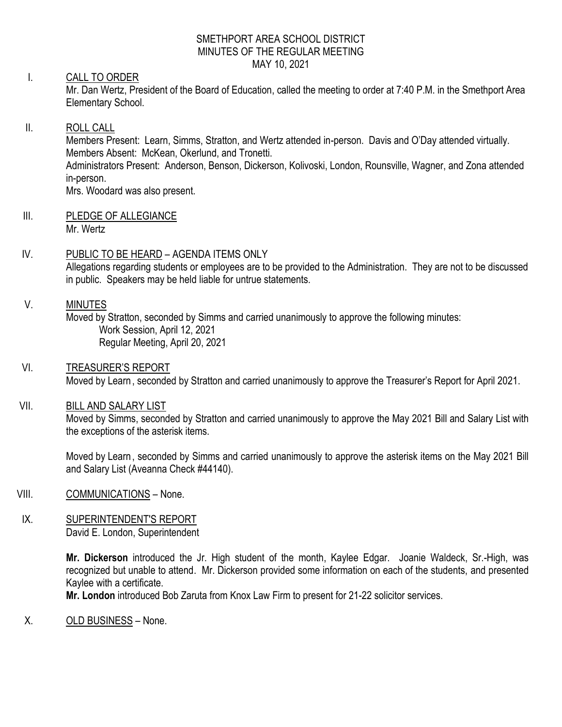#### SMETHPORT AREA SCHOOL DISTRICT MINUTES OF THE REGULAR MEETING MAY 10, 2021

# I. CALL TO ORDER

Mr. Dan Wertz, President of the Board of Education, called the meeting to order at 7:40 P.M. in the Smethport Area Elementary School.

## II. ROLL CALL

Members Present: Learn, Simms, Stratton, and Wertz attended in-person. Davis and O'Day attended virtually. Members Absent: McKean, Okerlund, and Tronetti. Administrators Present: Anderson, Benson, Dickerson, Kolivoski, London, Rounsville, Wagner, and Zona attended in-person. Mrs. Woodard was also present.

- III. PLEDGE OF ALLEGIANCE Mr. Wertz
- IV. PUBLIC TO BE HEARD AGENDA ITEMS ONLY Allegations regarding students or employees are to be provided to the Administration. They are not to be discussed in public. Speakers may be held liable for untrue statements.

### V. MINUTES

Moved by Stratton, seconded by Simms and carried unanimously to approve the following minutes: Work Session, April 12, 2021 Regular Meeting, April 20, 2021

VI. TREASURER'S REPORT Moved by Learn, seconded by Stratton and carried unanimously to approve the Treasurer's Report for April 2021.

### VII. BILL AND SALARY LIST

Moved by Simms, seconded by Stratton and carried unanimously to approve the May 2021 Bill and Salary List with the exceptions of the asterisk items.

Moved by Learn, seconded by Simms and carried unanimously to approve the asterisk items on the May 2021 Bill and Salary List (Aveanna Check #44140).

- VIII. COMMUNICATIONS None.
- IX. SUPERINTENDENT'S REPORT David E. London, Superintendent

**Mr. Dickerson** introduced the Jr. High student of the month, Kaylee Edgar. Joanie Waldeck, Sr.-High, was recognized but unable to attend. Mr. Dickerson provided some information on each of the students, and presented Kaylee with a certificate.

**Mr. London** introduced Bob Zaruta from Knox Law Firm to present for 21-22 solicitor services.

X. OLD BUSINESS – None.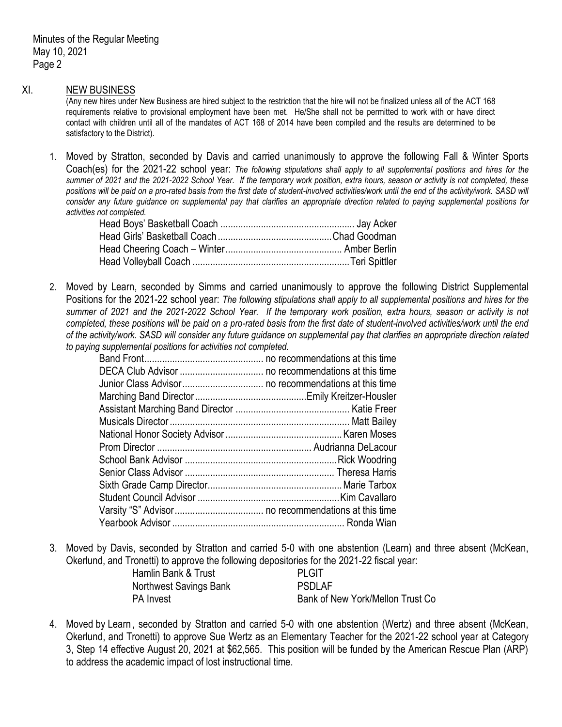#### XI. NEW BUSINESS

(Any new hires under New Business are hired subject to the restriction that the hire will not be finalized unless all of the ACT 168 requirements relative to provisional employment have been met. He/She shall not be permitted to work with or have direct contact with children until all of the mandates of ACT 168 of 2014 have been compiled and the results are determined to be satisfactory to the District).

1. Moved by Stratton, seconded by Davis and carried unanimously to approve the following Fall & Winter Sports Coach(es) for the 2021-22 school year: *The following stipulations shall apply to all supplemental positions and hires for the summer of 2021 and the 2021-2022 School Year. If the temporary work position, extra hours, season or activity is not completed, these*  positions will be paid on a pro-rated basis from the first date of student-involved activities/work until the end of the activity/work. SASD will *consider any future guidance on supplemental pay that clarifies an appropriate direction related to paying supplemental positions for activities not completed.*

2. Moved by Learn, seconded by Simms and carried unanimously to approve the following District Supplemental Positions for the 2021-22 school year: *The following stipulations shall apply to all supplemental positions and hires for the summer of 2021 and the 2021-2022 School Year. If the temporary work position, extra hours, season or activity is not completed, these positions will be paid on a pro-rated basis from the first date of student-involved activities/work until the end of the activity/work. SASD will consider any future guidance on supplemental pay that clarifies an appropriate direction related to paying supplemental positions for activities not completed.*

3. Moved by Davis, seconded by Stratton and carried 5-0 with one abstention (Learn) and three absent (McKean, Okerlund, and Tronetti) to approve the following depositories for the 2021-22 fiscal year:

| Hamlin Bank & Trust    | <b>PLGIT</b>                     |
|------------------------|----------------------------------|
| Northwest Savings Bank | <b>PSDLAF</b>                    |
| PA Invest              | Bank of New York/Mellon Trust Co |

4. Moved by Learn, seconded by Stratton and carried 5-0 with one abstention (Wertz) and three absent (McKean, Okerlund, and Tronetti) to approve Sue Wertz as an Elementary Teacher for the 2021-22 school year at Category 3, Step 14 effective August 20, 2021 at \$62,565. This position will be funded by the American Rescue Plan (ARP) to address the academic impact of lost instructional time.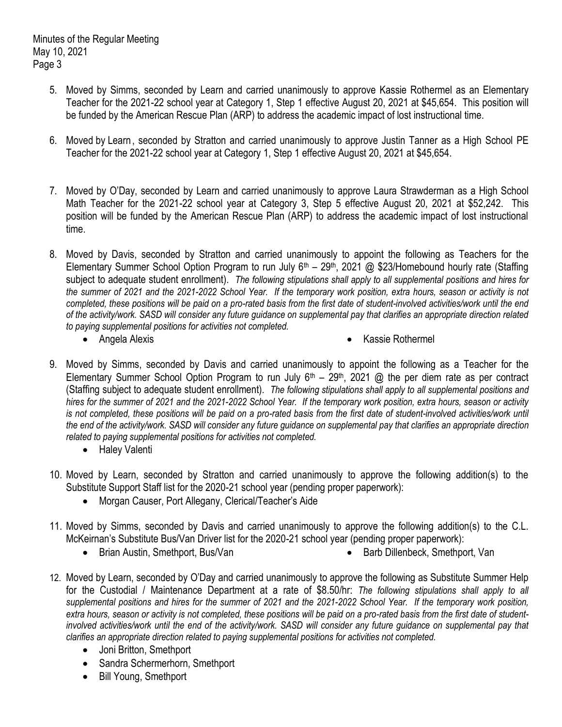- 5. Moved by Simms, seconded by Learn and carried unanimously to approve Kassie Rothermel as an Elementary Teacher for the 2021-22 school year at Category 1, Step 1 effective August 20, 2021 at \$45,654. This position will be funded by the American Rescue Plan (ARP) to address the academic impact of lost instructional time.
- 6. Moved by Learn, seconded by Stratton and carried unanimously to approve Justin Tanner as a High School PE Teacher for the 2021-22 school year at Category 1, Step 1 effective August 20, 2021 at \$45,654.
- 7. Moved by O'Day, seconded by Learn and carried unanimously to approve Laura Strawderman as a High School Math Teacher for the 2021-22 school year at Category 3, Step 5 effective August 20, 2021 at \$52,242. This position will be funded by the American Rescue Plan (ARP) to address the academic impact of lost instructional time.
- 8. Moved by Davis, seconded by Stratton and carried unanimously to appoint the following as Teachers for the Elementary Summer School Option Program to run July 6<sup>th</sup> – 29<sup>th</sup>, 2021 @ \$23/Homebound hourly rate (Staffing subject to adequate student enrollment). *The following stipulations shall apply to all supplemental positions and hires for the summer of 2021 and the 2021-2022 School Year. If the temporary work position, extra hours, season or activity is not completed, these positions will be paid on a pro-rated basis from the first date of student-involved activities/work until the end of the activity/work. SASD will consider any future guidance on supplemental pay that clarifies an appropriate direction related to paying supplemental positions for activities not completed.*
	-
	- Angela Alexis **Kassie Rothermel Contract Alexis Contract Alexis Contract Alexis Contract Alexis Contract Alexis Contract Alexis Contract Alexis Contract Alexis Contract Alexis Contract Alexis Contra**
- 9. Moved by Simms, seconded by Davis and carried unanimously to appoint the following as a Teacher for the Elementary Summer School Option Program to run July  $6<sup>th</sup> - 29<sup>th</sup>$ , 2021 @ the per diem rate as per contract (Staffing subject to adequate student enrollment). *The following stipulations shall apply to all supplemental positions and hires for the summer of 2021 and the 2021-2022 School Year. If the temporary work position, extra hours, season or activity*  is not completed, these positions will be paid on a pro-rated basis from the first date of student-involved activities/work until *the end of the activity/work. SASD will consider any future guidance on supplemental pay that clarifies an appropriate direction related to paying supplemental positions for activities not completed.*
	- Haley Valenti
- 10. Moved by Learn, seconded by Stratton and carried unanimously to approve the following addition(s) to the Substitute Support Staff list for the 2020-21 school year (pending proper paperwork):
	- Morgan Causer, Port Allegany, Clerical/Teacher's Aide
- 11. Moved by Simms, seconded by Davis and carried unanimously to approve the following addition(s) to the C.L. McKeirnan's Substitute Bus/Van Driver list for the 2020-21 school year (pending proper paperwork):
	- Brian Austin, Smethport, Bus/Van **Barb Barb Dillenbeck, Smethport, Van**
- 12. Moved by Learn, seconded by O'Day and carried unanimously to approve the following as Substitute Summer Help for the Custodial / Maintenance Department at a rate of \$8.50/hr: *The following stipulations shall apply to all supplemental positions and hires for the summer of 2021 and the 2021-2022 School Year. If the temporary work position, extra hours, season or activity is not completed, these positions will be paid on a pro-rated basis from the first date of studentinvolved activities/work until the end of the activity/work. SASD will consider any future guidance on supplemental pay that clarifies an appropriate direction related to paying supplemental positions for activities not completed.*
	- Joni Britton, Smethport
	- Sandra Schermerhorn, Smethport
	- Bill Young, Smethport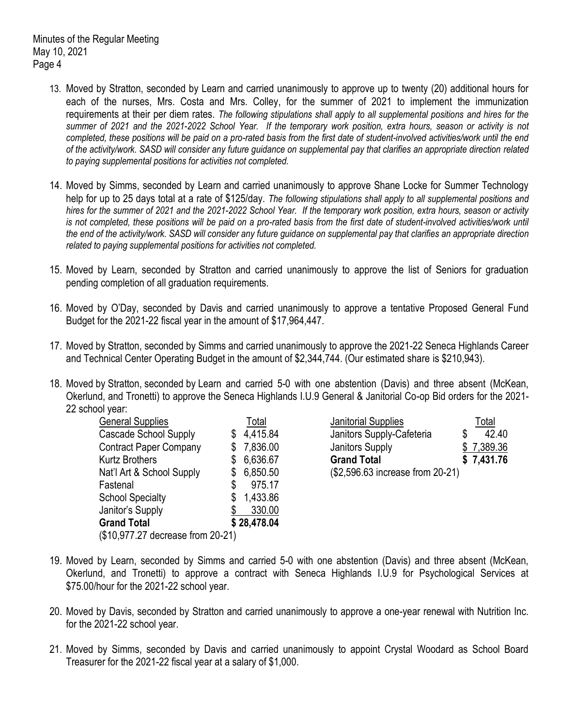- 13. Moved by Stratton, seconded by Learn and carried unanimously to approve up to twenty (20) additional hours for each of the nurses, Mrs. Costa and Mrs. Colley, for the summer of 2021 to implement the immunization requirements at their per diem rates. *The following stipulations shall apply to all supplemental positions and hires for the summer of 2021 and the 2021-2022 School Year. If the temporary work position, extra hours, season or activity is not completed, these positions will be paid on a pro-rated basis from the first date of student-involved activities/work until the end of the activity/work. SASD will consider any future guidance on supplemental pay that clarifies an appropriate direction related to paying supplemental positions for activities not completed.*
- 14. Moved by Simms, seconded by Learn and carried unanimously to approve Shane Locke for Summer Technology help for up to 25 days total at a rate of \$125/day. *The following stipulations shall apply to all supplemental positions and hires for the summer of 2021 and the 2021-2022 School Year. If the temporary work position, extra hours, season or activity*  is not completed, these positions will be paid on a pro-rated basis from the first date of student-involved activities/work until *the end of the activity/work. SASD will consider any future guidance on supplemental pay that clarifies an appropriate direction related to paying supplemental positions for activities not completed.*
- 15. Moved by Learn, seconded by Stratton and carried unanimously to approve the list of Seniors for graduation pending completion of all graduation requirements.
- 16. Moved by O'Day, seconded by Davis and carried unanimously to approve a tentative Proposed General Fund Budget for the 2021-22 fiscal year in the amount of \$17,964,447.
- 17. Moved by Stratton, seconded by Simms and carried unanimously to approve the 2021-22 Seneca Highlands Career and Technical Center Operating Budget in the amount of \$2,344,744. (Our estimated share is \$210,943).
- 18. Moved by Stratton, seconded by Learn and carried 5-0 with one abstention (Davis) and three absent (McKean, Okerlund, and Tronetti) to approve the Seneca Highlands I.U.9 General & Janitorial Co-op Bid orders for the 2021- 22 school year:

| <b>General Supplies</b>           | Total          |
|-----------------------------------|----------------|
| <b>Cascade School Supply</b>      | 4,415.84       |
| <b>Contract Paper Company</b>     | 7,836.00       |
| <b>Kurtz Brothers</b>             | 6,636.67       |
| Nat'l Art & School Supply         | 6,850.50       |
| Fastenal                          | \$<br>975.17   |
| <b>School Specialty</b>           | \$<br>1,433.86 |
| Janitor's Supply                  | 330.00         |
| <b>Grand Total</b>                | \$28,478.04    |
| (\$10,977.27 decrease from 20-21) |                |

Janitorial Supplies Total Janitors Supply-Cafeteria  $$ 42.40$ Janitors Supply  $$ 7,389.36$ Grand Total **\$ 7,431.76** (\$2,596.63 increase from 20-21)

- 19. Moved by Learn, seconded by Simms and carried 5-0 with one abstention (Davis) and three absent (McKean, Okerlund, and Tronetti) to approve a contract with Seneca Highlands I.U.9 for Psychological Services at \$75.00/hour for the 2021-22 school year.
- 20. Moved by Davis, seconded by Stratton and carried unanimously to approve a one-year renewal with Nutrition Inc. for the 2021-22 school year.
- 21. Moved by Simms, seconded by Davis and carried unanimously to appoint Crystal Woodard as School Board Treasurer for the 2021-22 fiscal year at a salary of \$1,000.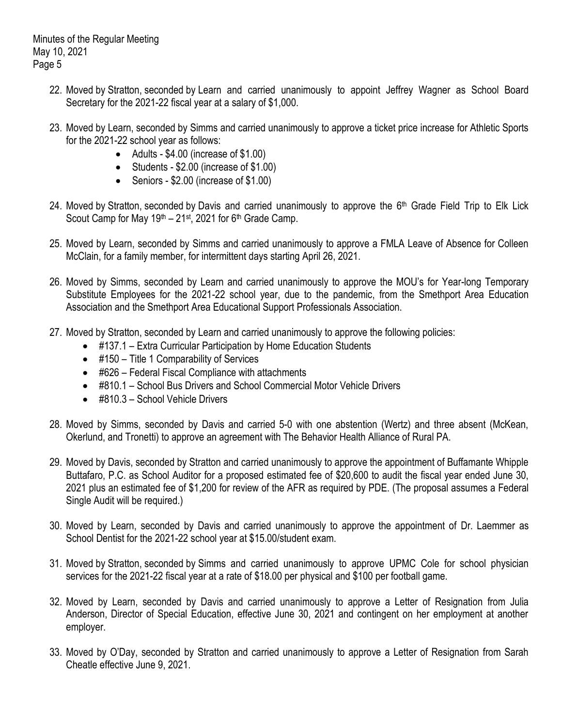- 22. Moved by Stratton, seconded by Learn and carried unanimously to appoint Jeffrey Wagner as School Board Secretary for the 2021-22 fiscal year at a salary of \$1,000.
- 23. Moved by Learn, seconded by Simms and carried unanimously to approve a ticket price increase for Athletic Sports for the 2021-22 school year as follows:
	- Adults \$4.00 (increase of \$1.00)
	- Students \$2.00 (increase of \$1.00)
	- Seniors \$2.00 (increase of \$1.00)
- 24. Moved by Stratton, seconded by Davis and carried unanimously to approve the 6<sup>th</sup> Grade Field Trip to Elk Lick Scout Camp for May  $19<sup>th</sup> - 21<sup>st</sup>$ , 2021 for 6<sup>th</sup> Grade Camp.
- 25. Moved by Learn, seconded by Simms and carried unanimously to approve a FMLA Leave of Absence for Colleen McClain, for a family member, for intermittent days starting April 26, 2021.
- 26. Moved by Simms, seconded by Learn and carried unanimously to approve the MOU's for Year-long Temporary Substitute Employees for the 2021-22 school year, due to the pandemic, from the Smethport Area Education Association and the Smethport Area Educational Support Professionals Association.
- 27. Moved by Stratton, seconded by Learn and carried unanimously to approve the following policies:
	- #137.1 Extra Curricular Participation by Home Education Students
	- #150 Title 1 Comparability of Services
	- #626 Federal Fiscal Compliance with attachments
	- #810.1 School Bus Drivers and School Commercial Motor Vehicle Drivers
	- #810.3 School Vehicle Drivers
- 28. Moved by Simms, seconded by Davis and carried 5-0 with one abstention (Wertz) and three absent (McKean, Okerlund, and Tronetti) to approve an agreement with The Behavior Health Alliance of Rural PA.
- 29. Moved by Davis, seconded by Stratton and carried unanimously to approve the appointment of Buffamante Whipple Buttafaro, P.C. as School Auditor for a proposed estimated fee of \$20,600 to audit the fiscal year ended June 30, 2021 plus an estimated fee of \$1,200 for review of the AFR as required by PDE. (The proposal assumes a Federal Single Audit will be required.)
- 30. Moved by Learn, seconded by Davis and carried unanimously to approve the appointment of Dr. Laemmer as School Dentist for the 2021-22 school year at \$15.00/student exam.
- 31. Moved by Stratton, seconded by Simms and carried unanimously to approve UPMC Cole for school physician services for the 2021-22 fiscal year at a rate of \$18.00 per physical and \$100 per football game.
- 32. Moved by Learn, seconded by Davis and carried unanimously to approve a Letter of Resignation from Julia Anderson, Director of Special Education, effective June 30, 2021 and contingent on her employment at another employer.
- 33. Moved by O'Day, seconded by Stratton and carried unanimously to approve a Letter of Resignation from Sarah Cheatle effective June 9, 2021.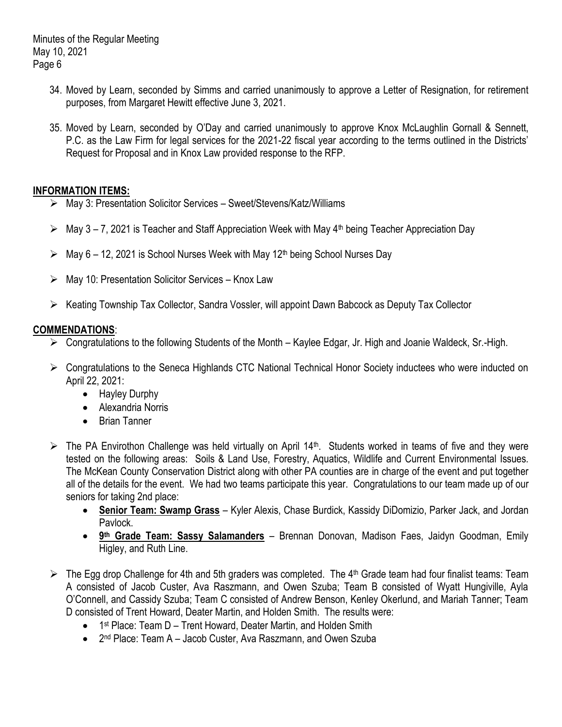- 34. Moved by Learn, seconded by Simms and carried unanimously to approve a Letter of Resignation, for retirement purposes, from Margaret Hewitt effective June 3, 2021.
- 35. Moved by Learn, seconded by O'Day and carried unanimously to approve Knox McLaughlin Gornall & Sennett, P.C. as the Law Firm for legal services for the 2021-22 fiscal year according to the terms outlined in the Districts' Request for Proposal and in Knox Law provided response to the RFP.

## **INFORMATION ITEMS:**

- May 3: Presentation Solicitor Services Sweet/Stevens/Katz/Williams
- $\triangleright$  May 3 7, 2021 is Teacher and Staff Appreciation Week with May 4<sup>th</sup> being Teacher Appreciation Day
- $\triangleright$  May 6 12, 2021 is School Nurses Week with May 12<sup>th</sup> being School Nurses Day
- May 10: Presentation Solicitor Services Knox Law
- $\triangleright$  Keating Township Tax Collector, Sandra Vossler, will appoint Dawn Babcock as Deputy Tax Collector

# **COMMENDATIONS**:

- Congratulations to the following Students of the Month Kaylee Edgar, Jr. High and Joanie Waldeck, Sr.-High.
- Congratulations to the Seneca Highlands CTC National Technical Honor Society inductees who were inducted on April 22, 2021:
	- Hayley Durphy
	- Alexandria Norris
	- Brian Tanner
- $\triangleright$  The PA Envirothon Challenge was held virtually on April 14<sup>th</sup>. Students worked in teams of five and they were tested on the following areas: Soils & Land Use, Forestry, Aquatics, Wildlife and Current Environmental Issues. The McKean County Conservation District along with other PA counties are in charge of the event and put together all of the details for the event. We had two teams participate this year. Congratulations to our team made up of our seniors for taking 2nd place:
	- **Senior Team: Swamp Grass** Kyler Alexis, Chase Burdick, Kassidy DiDomizio, Parker Jack, and Jordan Pavlock.
	- **9<sup>th</sup> Grade Team: Sassy Salamanders** Brennan Donovan, Madison Faes, Jaidyn Goodman, Emily Higley, and Ruth Line.
- $\triangleright$  The Egg drop Challenge for 4th and 5th graders was completed. The 4<sup>th</sup> Grade team had four finalist teams: Team A consisted of Jacob Custer, Ava Raszmann, and Owen Szuba; Team B consisted of Wyatt Hungiville, Ayla O'Connell, and Cassidy Szuba; Team C consisted of Andrew Benson, Kenley Okerlund, and Mariah Tanner; Team D consisted of Trent Howard, Deater Martin, and Holden Smith. The results were:
	- 1<sup>st</sup> Place: Team D Trent Howard, Deater Martin, and Holden Smith
	- 2<sup>nd</sup> Place: Team A Jacob Custer, Ava Raszmann, and Owen Szuba